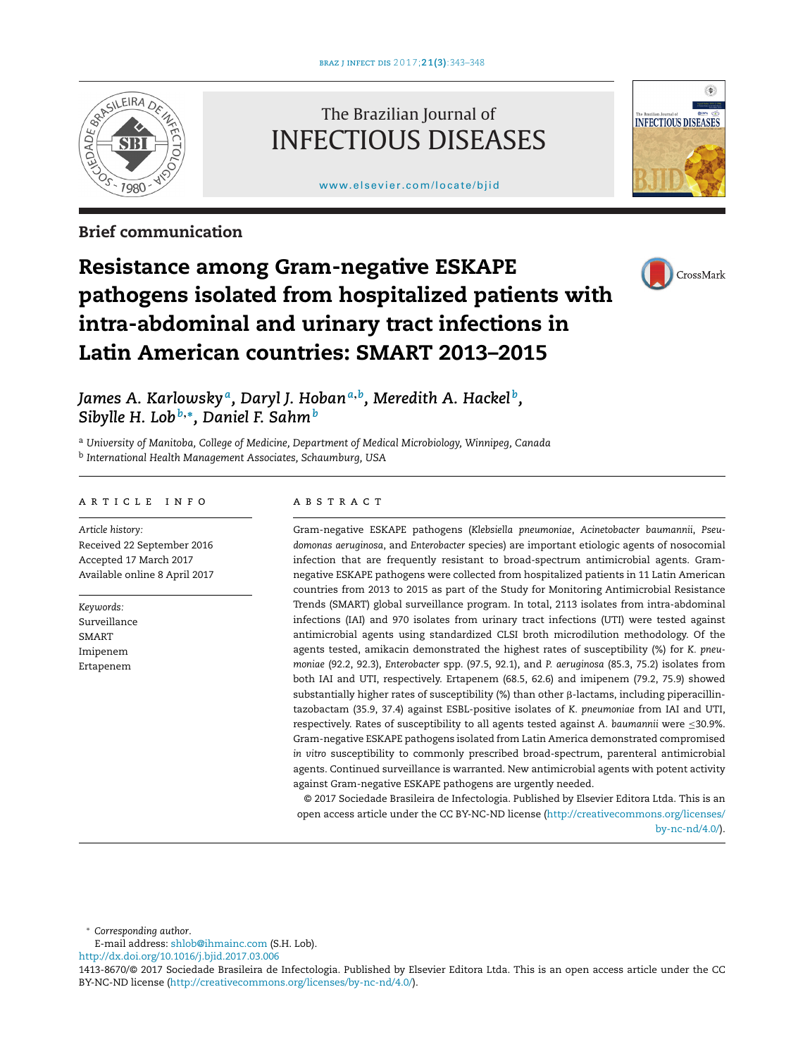

# The Brazilian Journal of INFECTIOUS DISEASES

[www.elsevier.com/locate/bjid](http://www.elsevier.com/locate/bjid)



# **Brief communication**



# **Resistance among Gram-negative ESKAPE pathogens isolated from hospitalized patients with intra-abdominal and urinary tract infections in Latin American countries: SMART 2013–2015**

*James A. Karlowsky a, Daryl J. Hoban<sup>a</sup>***,***b, Meredith A. Hackel b, Sibylle H. Lob<sup>b</sup>***,∗***, Daniel F. Sahm<sup>b</sup>*

<sup>a</sup> *University of Manitoba, College of Medicine, Department of Medical Microbiology, Winnipeg, Canada* <sup>b</sup> *International Health Management Associates, Schaumburg, USA*

## a r t i c l e i n f o

*Article history:* Received 22 September 2016 Accepted 17 March 2017 Available online 8 April 2017

*Keywords:* Surveillance SMART Imipenem Ertapenem

# A B S T R A C T

Gram-negative ESKAPE pathogens (*Klebsiella pneumoniae*, *Acinetobacter baumannii*, *Pseudomonas aeruginosa*, and *Enterobacter* species) are important etiologic agents of nosocomial infection that are frequently resistant to broad-spectrum antimicrobial agents. Gramnegative ESKAPE pathogens were collected from hospitalized patients in 11 Latin American countries from 2013 to 2015 as part of the Study for Monitoring Antimicrobial Resistance Trends (SMART) global surveillance program. In total, 2113 isolates from intra-abdominal infections (IAI) and 970 isolates from urinary tract infections (UTI) were tested against antimicrobial agents using standardized CLSI broth microdilution methodology. Of the agents tested, amikacin demonstrated the highest rates of susceptibility (%) for *K. pneumoniae* (92.2, 92.3), *Enterobacter* spp. (97.5, 92.1), and *P. aeruginosa* (85.3, 75.2) isolates from both IAI and UTI, respectively. Ertapenem (68.5, 62.6) and imipenem (79.2, 75.9) showed substantially higher rates of susceptibility (%) than other  $\beta$ -lactams, including piperacillintazobactam (35.9, 37.4) against ESBL-positive isolates of *K. pneumoniae* from IAI and UTI, respectively. Rates of susceptibility to all agents tested against *A. baumannii* were ≤30.9%. Gram-negative ESKAPE pathogens isolated from Latin America demonstrated compromised *in vitro* susceptibility to commonly prescribed broad-spectrum, parenteral antimicrobial agents. Continued surveillance is warranted. New antimicrobial agents with potent activity against Gram-negative ESKAPE pathogens are urgently needed.

© 2017 Sociedade Brasileira de Infectologia. Published by Elsevier Editora Ltda. This is an open access article under the CC BY-NC-ND license [\(http://creativecommons.org/licenses/](http://creativecommons.org/licenses/by-nc-nd/4.0/) [by-nc-nd/4.0/\)](http://creativecommons.org/licenses/by-nc-nd/4.0/).

∗ *Corresponding author*.

E-mail address: [shlob@ihmainc.com](mailto:shlob@ihmainc.com) (S.H. Lob). [http://dx.doi.org/10.1016/j.bjid.2017.03.006](dx.doi.org/10.1016/j.bjid.2017.03.006)

<sup>1413-8670/©</sup> 2017 Sociedade Brasileira de Infectologia. Published by Elsevier Editora Ltda. This is an open access article under the CC BY-NC-ND license (<http://creativecommons.org/licenses/by-nc-nd/4.0/>).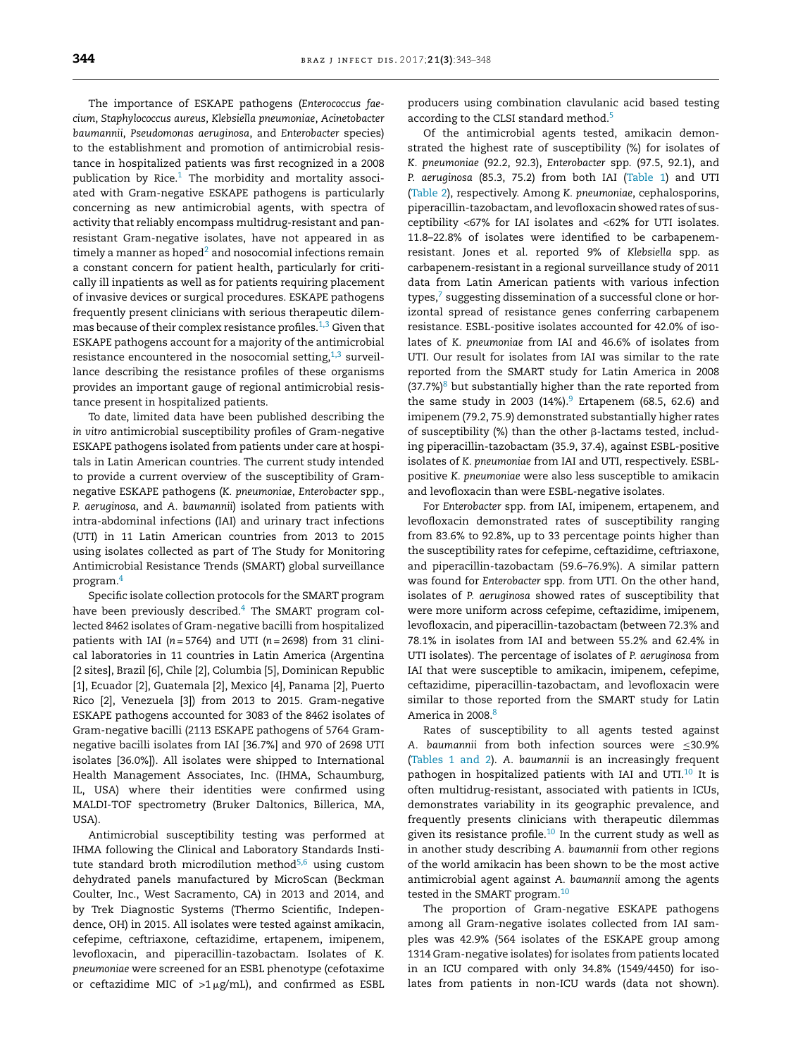The importance of ESKAPE pathogens (*Enterococcus faecium*, *Staphylococcus aureus*, *Klebsiella pneumoniae*, *Acinetobacter baumannii*, *Pseudomonas aeruginosa*, and *Enterobacter* species) to the establishment and promotion of antimicrobial resistance in hospitalized patients was first recognized in a 2008 publication by Rice. $1$  The morbidity and mortality associated with Gram-negative ESKAPE pathogens is particularly concerning as new antimicrobial agents, with spectra of activity that reliably encompass multidrug-resistant and panresistant Gram-negative isolates, have not appeared in as timely a manner as hoped $2$  and nosocomial infections remain a constant concern for patient health, particularly for critically ill inpatients as well as for patients requiring placement of invasive devices or surgical procedures. ESKAPE pathogens frequently present clinicians with serious therapeutic dilemmas because of their complex resistance profiles. $1,3$  Given that ESKAPE pathogens account for a majority of the antimicrobial resistance encountered in the nosocomial setting, $1,3$  surveillance describing the resistance profiles of these organisms provides an important gauge of regional antimicrobial resistance present in hospitalized patients.

To date, limited data have been published describing the *in vitro* antimicrobial susceptibility profiles of Gram-negative ESKAPE pathogens isolated from patients under care at hospitals in Latin American countries. The current study intended to provide a current overview of the susceptibility of Gramnegative ESKAPE pathogens (*K. pneumoniae*, *Enterobacter* spp., *P. aeruginosa*, and *A. baumannii*) isolated from patients with intra-abdominal infections (IAI) and urinary tract infections (UTI) in 11 Latin American countries from 2013 to 2015 using isolates collected as part of The Study for Monitoring Antimicrobial Resistance Trends (SMART) global surveillance program.[4](#page-5-0)

Specific isolate collection protocols for the SMART program have been previously described.<sup>4</sup> The SMART program collected 8462 isolates of Gram-negative bacilli from hospitalized patients with IAI (*n* = 5764) and UTI (*n* = 2698) from 31 clinical laboratories in 11 countries in Latin America (Argentina [2 sites], Brazil [6], Chile [2], Columbia [5], Dominican Republic [1], Ecuador [2], Guatemala [2], Mexico [4], Panama [2], Puerto Rico [2], Venezuela [3]) from 2013 to 2015. Gram-negative ESKAPE pathogens accounted for 3083 of the 8462 isolates of Gram-negative bacilli (2113 ESKAPE pathogens of 5764 Gramnegative bacilli isolates from IAI [36.7%] and 970 of 2698 UTI isolates [36.0%]). All isolates were shipped to International Health Management Associates, Inc. (IHMA, Schaumburg, IL, USA) where their identities were confirmed using MALDI-TOF spectrometry (Bruker Daltonics, Billerica, MA, USA).

Antimicrobial susceptibility testing was performed at IHMA following the Clinical and Laboratory Standards Institute standard broth microdilution method $5,6$  using custom dehydrated panels manufactured by MicroScan (Beckman Coulter, Inc., West Sacramento, CA) in 2013 and 2014, and by Trek Diagnostic Systems (Thermo Scientific, Independence, OH) in 2015. All isolates were tested against amikacin, cefepime, ceftriaxone, ceftazidime, ertapenem, imipenem, levofloxacin, and piperacillin-tazobactam. Isolates of *K. pneumoniae* were screened for an ESBL phenotype (cefotaxime or ceftazidime MIC of  $>1 \mu$ g/mL), and confirmed as ESBL

producers using combination clavulanic acid based testing according to the CLSI standard method.<sup>5</sup>

Of the antimicrobial agents tested, amikacin demonstrated the highest rate of susceptibility (%) for isolates of *K. pneumoniae* (92.2, 92.3), *Enterobacter* spp. (97.5, 92.1), and *P. aeruginosa* (85.3, 75.2) from both IAI [\(Table](#page-2-0) 1) and UTI ([Table](#page-3-0) 2), respectively. Among *K. pneumoniae*, cephalosporins, piperacillin-tazobactam, and levofloxacin showed rates of susceptibility <67% for IAI isolates and <62% for UTI isolates. 11.8–22.8% of isolates were identified to be carbapenemresistant. Jones et al. reported 9% of *Klebsiella* spp. as carbapenem-resistant in a regional surveillance study of 2011 data from Latin American patients with various infection types, $7$  suggesting dissemination of a successful clone or horizontal spread of resistance genes conferring carbapenem resistance. ESBL-positive isolates accounted for 42.0% of isolates of *K. pneumoniae* from IAI and 46.6% of isolates from UTI. Our result for isolates from IAI was similar to the rate reported from the SMART study for Latin America in 2008  $(37.7%)<sup>8</sup>$  $(37.7%)<sup>8</sup>$  $(37.7%)<sup>8</sup>$  but substantially higher than the rate reported from the same study in 2003 (14%).<sup>[9](#page-5-0)</sup> Ertapenem (68.5, 62.6) and imipenem (79.2, 75.9) demonstrated substantially higher rates of susceptibility (%) than the other  $\beta$ -lactams tested, including piperacillin-tazobactam (35.9, 37.4), against ESBL-positive isolates of *K. pneumoniae* from IAI and UTI, respectively. ESBLpositive *K. pneumoniae* were also less susceptible to amikacin and levofloxacin than were ESBL-negative isolates.

For *Enterobacter* spp. from IAI, imipenem, ertapenem, and levofloxacin demonstrated rates of susceptibility ranging from 83.6% to 92.8%, up to 33 percentage points higher than the susceptibility rates for cefepime, ceftazidime, ceftriaxone, and piperacillin-tazobactam (59.6–76.9%). A similar pattern was found for *Enterobacter* spp. from UTI. On the other hand, isolates of *P. aeruginosa* showed rates of susceptibility that were more uniform across cefepime, ceftazidime, imipenem, levofloxacin, and piperacillin-tazobactam (between 72.3% and 78.1% in isolates from IAI and between 55.2% and 62.4% in UTI isolates). The percentage of isolates of *P. aeruginosa* from IAI that were susceptible to amikacin, imipenem, cefepime, ceftazidime, piperacillin-tazobactam, and levofloxacin were similar to those reported from the SMART study for Latin America in 200[8](#page-5-0).<sup>8</sup>

Rates of susceptibility to all agents tested against *A. baumannii* from both infection sources were ≤30.9% ([Tables](#page-2-0) 1 and 2). *A. baumannii* is an increasingly frequent pathogen in hospitalized patients with IAI and UTI.<sup>10</sup> It is often multidrug-resistant, associated with patients in ICUs, demonstrates variability in its geographic prevalence, and frequently presents clinicians with therapeutic dilemmas given its resistance profile.<sup>[10](#page-5-0)</sup> In the current study as well as in another study describing *A. baumannii* from other regions of the world amikacin has been shown to be the most active antimicrobial agent against *A. baumannii* among the agents tested in the SMART program.<sup>[10](#page-5-0)</sup>

The proportion of Gram-negative ESKAPE pathogens among all Gram-negative isolates collected from IAI samples was 42.9% (564 isolates of the ESKAPE group among 1314 Gram-negative isolates) for isolates from patients located in an ICU compared with only 34.8% (1549/4450) for isolates from patients in non-ICU wards (data not shown).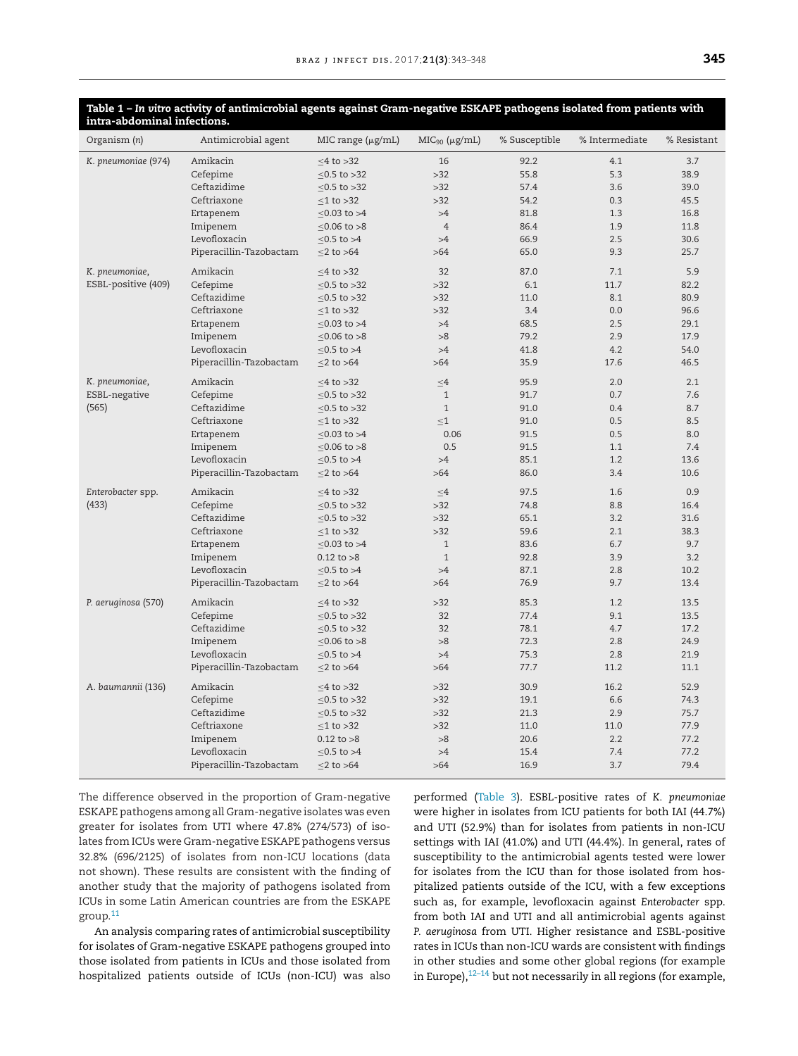| intra-abdominal infections. |                         |                        |                    |               |                |             |
|-----------------------------|-------------------------|------------------------|--------------------|---------------|----------------|-------------|
| Organism (n)                | Antimicrobial agent     | MIC range $(\mu g/mL)$ | $MIC90 (\mu g/mL)$ | % Susceptible | % Intermediate | % Resistant |
| K. pneumoniae (974)         | Amikacin                | $\leq$ 4 to >32        | 16                 | 92.2          | 4.1            | 3.7         |
|                             | Cefepime                | ≤0.5 to >32            | $>32$              | 55.8          | 5.3            | 38.9        |
|                             | Ceftazidime             | $< 0.5$ to $> 32$      | $>32$              | 57.4          | 3.6            | 39.0        |
|                             | Ceftriaxone             | $\leq$ 1 to >32        | $>32$              | 54.2          | 0.3            | 45.5        |
|                             | Ertapenem               | $≤0.03$ to >4          | >4                 | 81.8          | 1.3            | 16.8        |
|                             | Imipenem                | $< 0.06$ to $> 8$      | $\overline{4}$     | 86.4          | 1.9            | 11.8        |
|                             | Levofloxacin            | $\leq$ 0.5 to >4       | >4                 | 66.9          | 2.5            | 30.6        |
|                             | Piperacillin-Tazobactam | $\leq$ 2 to $>$ 64     | $>64$              | 65.0          | 9.3            | 25.7        |
| K. pneumoniae,              | Amikacin                | $\leq$ 4 to >32        | 32                 | 87.0          | 7.1            | 5.9         |
| ESBL-positive (409)         | Cefepime                | $< 0.5$ to $> 32$      | $>32$              | 6.1           | 11.7           | 82.2        |
|                             | Ceftazidime             | $< 0.5$ to $> 32$      | $>32$              | 11.0          | 8.1            | 80.9        |
|                             | Ceftriaxone             | $<$ 1 to $>$ 32        | $>32$              | 3.4           | 0.0            | 96.6        |
|                             | Ertapenem               | $< 0.03$ to $> 4$      | >4                 | 68.5          | 2.5            | 29.1        |
|                             | Imipenem                | ≤0.06 to >8            | >8                 | 79.2          | 2.9            | 17.9        |
|                             | Levofloxacin            | $\leq$ 0.5 to >4       | >4                 | 41.8          | 4.2            | 54.0        |
|                             | Piperacillin-Tazobactam | $\leq$ 2 to $>$ 64     | $>64$              | 35.9          | 17.6           | 46.5        |
| K. pneumoniae,              | Amikacin                | $<$ 4 to $>$ 32        | $<$ 4              | 95.9          | 2.0            | 2.1         |
| ESBL-negative               | Cefepime                | $< 0.5$ to $> 32$      | $\mathbf{1}$       | 91.7          | 0.7            | 7.6         |
| (565)                       | Ceftazidime             | $< 0.5$ to $> 32$      | $\mathbf{1}$       | 91.0          | 0.4            | 8.7         |
|                             | Ceftriaxone             | $<$ 1 to $>$ 32        | $<$ 1              | 91.0          | 0.5            | 8.5         |
|                             | Ertapenem               | $< 0.03$ to $> 4$      | 0.06               | 91.5          | 0.5            | 8.0         |
|                             | Imipenem                | $< 0.06$ to $> 8$      | 0.5                | 91.5          | 1.1            | 7.4         |
|                             | Levofloxacin            | $< 0.5$ to $> 4$       | >4                 | 85.1          | 1.2            | 13.6        |
|                             | Piperacillin-Tazobactam | $\leq$ 2 to $>$ 64     | $>64$              | 86.0          | 3.4            | 10.6        |
| Enterobacter spp.           | Amikacin                | $\leq$ 4 to >32        | $<4$               | 97.5          | 1.6            | 0.9         |
| (433)                       | Cefepime                | $< 0.5$ to $> 32$      | $>32$              | 74.8          | 8.8            | 16.4        |
|                             | Ceftazidime             | $\leq$ 0.5 to >32      | $>32$              | 65.1          | 3.2            | 31.6        |
|                             | Ceftriaxone             | $\leq$ 1 to >32        | $>32$              | 59.6          | 2.1            | 38.3        |
|                             | Ertapenem               | $≤0.03$ to >4          | $\mathbf{1}$       | 83.6          | 6.7            | 9.7         |
|                             | Imipenem                | $0.12$ to $>8$         | $\mathbf{1}$       | 92.8          | 3.9            | 3.2         |
|                             | Levofloxacin            | $< 0.5$ to $> 4$       | >4                 | 87.1          | 2.8            | 10.2        |
|                             | Piperacillin-Tazobactam | $\leq$ 2 to $>$ 64     | $>64$              | 76.9          | 9.7            | 13.4        |
| P. aeruginosa (570)         | Amikacin                | $\leq$ 4 to >32        | $>32$              | 85.3          | 1.2            | 13.5        |
|                             | Cefepime                | $< 0.5$ to $> 32$      | 32                 | 77.4          | 9.1            | 13.5        |
|                             | Ceftazidime             | $< 0.5$ to $> 32$      | 32                 | 78.1          | 4.7            | 17.2        |
|                             | Imipenem                | $< 0.06$ to $> 8$      | >8                 | 72.3          | 2.8            | 24.9        |
|                             | Levofloxacin            | $< 0.5$ to $> 4$       | >4                 | 75.3          | 2.8            | 21.9        |
|                             | Piperacillin-Tazobactam | $\leq$ 2 to $>$ 64     | >64                | 77.7          | 11.2           | 11.1        |
| A. baumannii (136)          | Amikacin                | $\leq$ 4 to >32        | $>32$              | 30.9          | 16.2           | 52.9        |
|                             | Cefepime                | $≤0.5$ to >32          | $>32$              | 19.1          | 6.6            | 74.3        |
|                             | Ceftazidime             | $≤0.5$ to >32          | $>32$              | 21.3          | 2.9            | 75.7        |
|                             | Ceftriaxone             | $\leq$ 1 to >32        | $>32$              | 11.0          | 11.0           | 77.9        |
|                             | Imipenem                | $0.12$ to $>8$         | >8                 | 20.6          | 2.2            | 77.2        |
|                             | Levofloxacin            | $\leq$ 0.5 to >4       | >4                 | 15.4          | 7.4            | 77.2        |
|                             | Piperacillin-Tazobactam | $<$ 2 to $>$ 64        | $>64$              | 16.9          | 3.7            | 79.4        |

<span id="page-2-0"></span>

| Table 1 – In vitro activity of antimicrobial agents against Gram-negative ESKAPE pathogens isolated from patients with |  |  |
|------------------------------------------------------------------------------------------------------------------------|--|--|
| intra-abdominal infections.                                                                                            |  |  |

The difference observed in the proportion of Gram-negative ESKAPE pathogens among all Gram-negative isolates was even greater for isolates from UTI where 47.8% (274/573) of isolates from ICUs were Gram-negative ESKAPE pathogens versus 32.8% (696/2125) of isolates from non-ICU locations (data not shown). These results are consistent with the finding of another study that the majority of pathogens isolated from ICUs in some Latin American countries are from the ESKAPE group.[11](#page-5-0)

An analysis comparing rates of antimicrobial susceptibility for isolates of Gram-negative ESKAPE pathogens grouped into those isolated from patients in ICUs and those isolated from hospitalized patients outside of ICUs (non-ICU) was also performed ([Table](#page-4-0) 3). ESBL-positive rates of *K. pneumoniae* were higher in isolates from ICU patients for both IAI (44.7%) and UTI (52.9%) than for isolates from patients in non-ICU settings with IAI (41.0%) and UTI (44.4%). In general, rates of susceptibility to the antimicrobial agents tested were lower for isolates from the ICU than for those isolated from hospitalized patients outside of the ICU, with a few exceptions such as, for example, levofloxacin against *Enterobacter* spp. from both IAI and UTI and all antimicrobial agents against *P. aeruginosa* from UTI. Higher resistance and ESBL-positive rates in ICUs than non-ICU wards are consistent with findings in other studies and some other global regions (for example in Europe), $12-14$  but not necessarily in all regions (for example,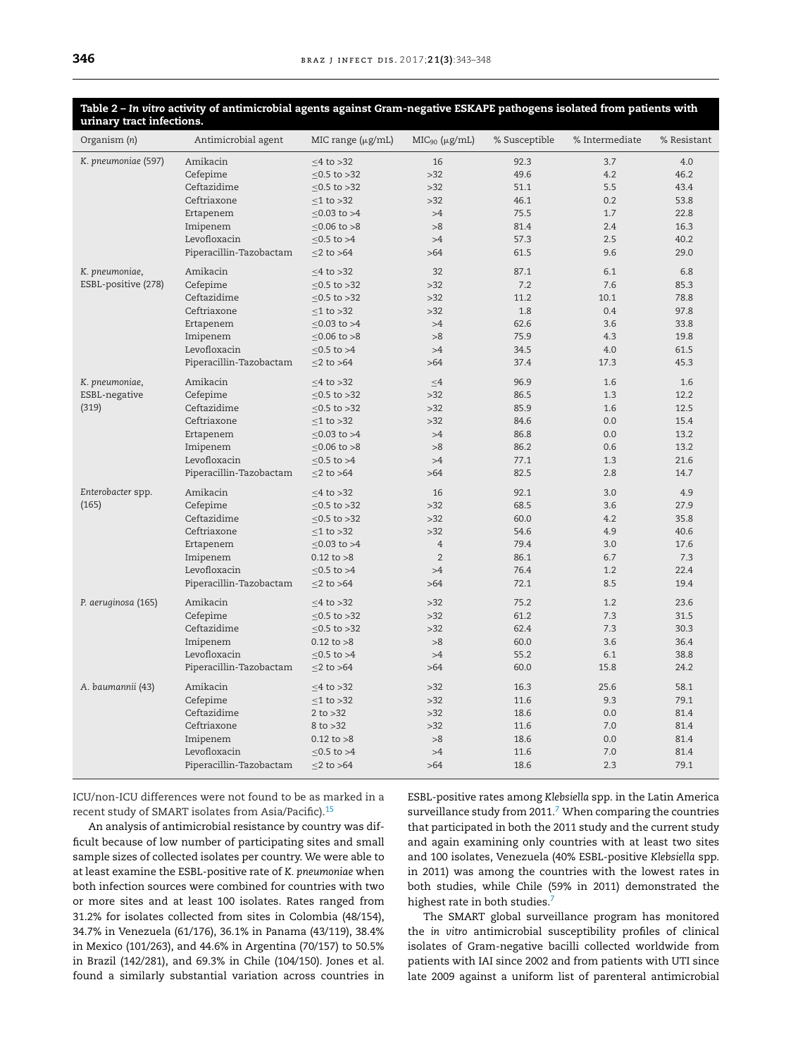| urinary tract infections. |                         |                        |                       |               |                |             |  |
|---------------------------|-------------------------|------------------------|-----------------------|---------------|----------------|-------------|--|
| Organism (n)              | Antimicrobial agent     | MIC range $(\mu g/mL)$ | $MIC90$ ( $\mu$ g/mL) | % Susceptible | % Intermediate | % Resistant |  |
| K. pneumoniae (597)       | Amikacin                | $\leq$ 4 to >32        | 16                    | 92.3          | 3.7            | 4.0         |  |
|                           | Cefepime                | $\leq$ 0.5 to >32      | $>32$                 | 49.6          | 4.2            | 46.2        |  |
|                           | Ceftazidime             | $\leq$ 0.5 to >32      | $>32$                 | 51.1          | 5.5            | 43.4        |  |
|                           | Ceftriaxone             | $\leq$ 1 to >32        | >32                   | 46.1          | 0.2            | 53.8        |  |
|                           | Ertapenem               | $< 0.03$ to $> 4$      | >4                    | 75.5          | 1.7            | 22.8        |  |
|                           | Imipenem                | $< 0.06$ to $> 8$      | >8                    | 81.4          | 2.4            | 16.3        |  |
|                           | Levofloxacin            | $< 0.5$ to $> 4$       | >4                    | 57.3          | 2.5            | 40.2        |  |
|                           | Piperacillin-Tazobactam | $\leq$ 2 to >64        | $>64$                 | 61.5          | 9.6            | 29.0        |  |
| K. pneumoniae,            | Amikacin                | $\leq$ 4 to >32        | 32                    | 87.1          | 6.1            | 6.8         |  |
| ESBL-positive (278)       | Cefepime                | $\leq$ 0.5 to >32      | $>32$                 | 7.2           | 7.6            | 85.3        |  |
|                           | Ceftazidime             | $\leq$ 0.5 to >32      | >32                   | 11.2          | 10.1           | 78.8        |  |
|                           | Ceftriaxone             | $\leq$ 1 to >32        | $>32$                 | 1.8           | 0.4            | 97.8        |  |
|                           | Ertapenem               | $\leq$ 0.03 to >4      | >4                    | 62.6          | 3.6            | 33.8        |  |
|                           | Imipenem                | $< 0.06$ to $> 8$      | >8                    | 75.9          | 4.3            | 19.8        |  |
|                           | Levofloxacin            | $< 0.5$ to $> 4$       | >4                    | 34.5          | 4.0            | 61.5        |  |
|                           | Piperacillin-Tazobactam | $\leq$ 2 to >64        | >64                   | 37.4          | 17.3           | 45.3        |  |
| K. pneumoniae,            | Amikacin                | $\leq$ 4 to >32        | $<$ 4                 | 96.9          | 1.6            | 1.6         |  |
| ESBL-negative             | Cefepime                | $\leq$ 0.5 to >32      | $>32$                 | 86.5          | 1.3            | 12.2        |  |
| (319)                     | Ceftazidime             | $\leq$ 0.5 to >32      | $>32$                 | 85.9          | 1.6            | 12.5        |  |
|                           | Ceftriaxone             | $\leq$ 1 to >32        | $>32$                 | 84.6          | 0.0            | 15.4        |  |
|                           | Ertapenem               | $\leq$ 0.03 to >4      | >4                    | 86.8          | 0.0            | 13.2        |  |
|                           | Imipenem                | ≤0.06 to >8            | >8                    | 86.2          | 0.6            | 13.2        |  |
|                           | Levofloxacin            | $\leq$ 0.5 to >4       | >4                    | 77.1          | 1.3            | 21.6        |  |
|                           | Piperacillin-Tazobactam | $\leq$ 2 to >64        | $>64$                 | 82.5          | 2.8            | 14.7        |  |
| Enterobacter spp.         | Amikacin                | $\leq$ 4 to >32        | 16                    | 92.1          | 3.0            | 4.9         |  |
| (165)                     | Cefepime                | $\leq$ 0.5 to >32      | $>32$                 | 68.5          | 3.6            | 27.9        |  |
|                           | Ceftazidime             | $<$ 0.5 to $>$ 32      | $>32$                 | 60.0          | 4.2            | 35.8        |  |
|                           | Ceftriaxone             | $\leq$ 1 to >32        | $>32$                 | 54.6          | 4.9            | 40.6        |  |
|                           | Ertapenem               | $\leq$ 0.03 to >4      | $\overline{4}$        | 79.4          | 3.0            | 17.6        |  |
|                           | Imipenem                | $0.12$ to $>8$         | $\overline{2}$        | 86.1          | 6.7            | 7.3         |  |
|                           | Levofloxacin            | $\leq$ 0.5 to >4       | >4                    | 76.4          | 1.2            | 22.4        |  |
|                           | Piperacillin-Tazobactam | $\leq$ 2 to >64        | >64                   | 72.1          | 8.5            | 19.4        |  |
| P. aeruginosa (165)       | Amikacin                | $\leq$ 4 to >32        | $>32$                 | 75.2          | 1.2            | 23.6        |  |
|                           | Cefepime                | $\leq$ 0.5 to >32      | $>32$                 | 61.2          | 7.3            | 31.5        |  |
|                           | Ceftazidime             | $\leq$ 0.5 to >32      | $>32$                 | 62.4          | 7.3            | 30.3        |  |
|                           | Imipenem                | $0.12$ to $>8$         | >8                    | 60.0          | 3.6            | 36.4        |  |
|                           | Levofloxacin            | $< 0.5$ to $> 4$       | >4                    | 55.2          | 6.1            | 38.8        |  |
|                           | Piperacillin-Tazobactam | $\leq$ 2 to >64        | $>64$                 | 60.0          | 15.8           | 24.2        |  |
| A. baumannii (43)         | Amikacin                | $<4$ to $>32$          | $>32$                 | 16.3          | 25.6           | 58.1        |  |
|                           | Cefepime                | $\leq$ 1 to >32        | $>32$                 | 11.6          | 9.3            | 79.1        |  |
|                           | Ceftazidime             | 2 to $>32$             | $>32$                 | 18.6          | 0.0            | 81.4        |  |
|                           | Ceftriaxone             | $8$ to $>32$           | $>32$                 | 11.6          | 7.0            | 81.4        |  |
|                           | Imipenem                | $0.12$ to $>8$         | >8                    | 18.6          | 0.0            | 81.4        |  |
|                           | Levofloxacin            | $\leq$ 0.5 to >4       | >4                    | 11.6          | 7.0            | 81.4        |  |
|                           | Piperacillin-Tazobactam | $\leq$ 2 to $>$ 64     | $>64$                 | 18.6          | 2.3            | 79.1        |  |

# <span id="page-3-0"></span>Table 2 - In vitro activity of antimicrobial agents against Gram-negative ESKAPE pathogens isolated from patients with

ICU/non-ICU differences were not found to be as marked in a recent study of SMART isolates from Asia/Pacific).<sup>15</sup>

An analysis of antimicrobial resistance by country was difficult because of low number of participating sites and small sample sizes of collected isolates per country. We were able to at least examine the ESBL-positive rate of *K. pneumoniae* when both infection sources were combined for countries with two or more sites and at least 100 isolates. Rates ranged from 31.2% for isolates collected from sites in Colombia (48/154), 34.7% in Venezuela (61/176), 36.1% in Panama (43/119), 38.4% in Mexico (101/263), and 44.6% in Argentina (70/157) to 50.5% in Brazil (142/281), and 69.3% in Chile (104/150). Jones et al. found a similarly substantial variation across countries in ESBL-positive rates among *Klebsiella* spp. in the Latin America surveillance study from 2011. $^7$  $^7$  When comparing the countries that participated in both the 2011 study and the current study and again examining only countries with at least two sites and 100 isolates, Venezuela (40% ESBL-positive *Klebsiella* spp. in 2011) was among the countries with the lowest rates in both studies, while Chile (59% in 2011) demonstrated the highest rate in both studies.<sup>[7](#page-5-0)</sup>

The SMART global surveillance program has monitored the *in vitro* antimicrobial susceptibility profiles of clinical isolates of Gram-negative bacilli collected worldwide from patients with IAI since 2002 and from patients with UTI since late 2009 against a uniform list of parenteral antimicrobial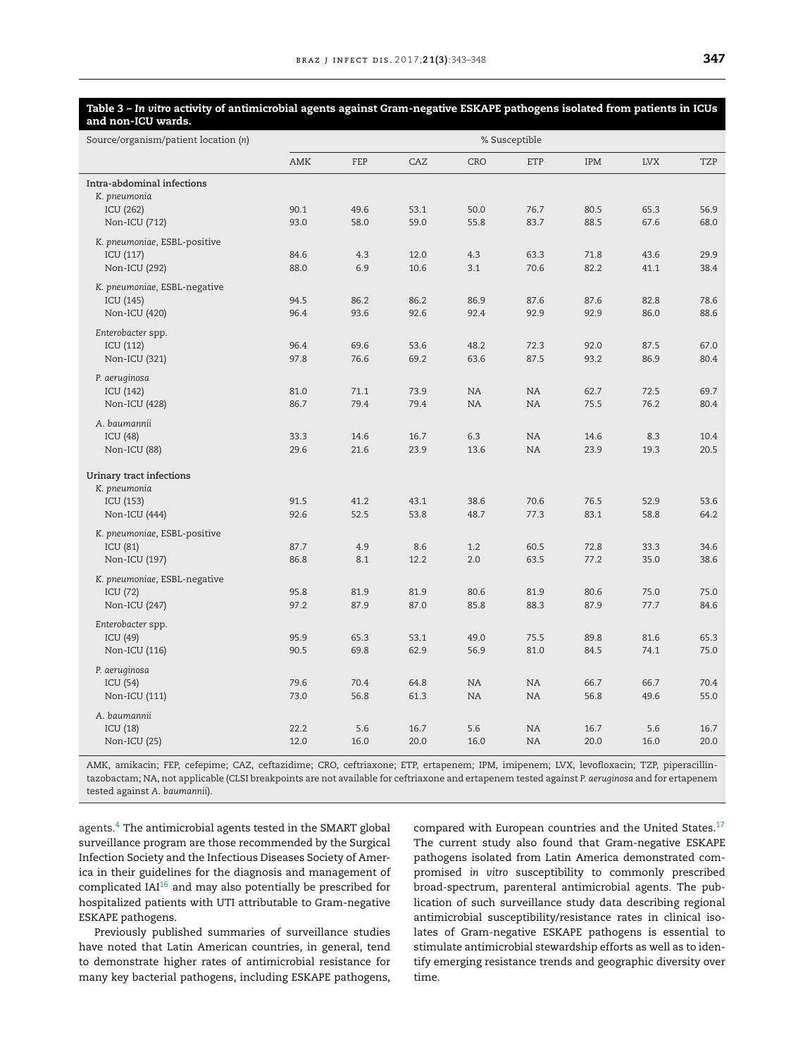#### <span id="page-4-0"></span>Table 3 - In vitro activity of antimicrobial agents against Gram-negative ESKAPE pathogens isolated from patients in ICUs **and non-ICU wards.**

| Source/organism/patient location (n)                                     | % Susceptible |              |              |                        |                        |              |              |              |
|--------------------------------------------------------------------------|---------------|--------------|--------------|------------------------|------------------------|--------------|--------------|--------------|
|                                                                          | <b>AMK</b>    | FEP          | CAZ          | CRO                    | ETP                    | IPM          | <b>LVX</b>   | <b>TZP</b>   |
| Intra-abdominal infections<br>K. pneumonia<br>ICU (262)<br>Non-ICU (712) | 90.1<br>93.0  | 49.6<br>58.0 | 53.1<br>59.0 | 50.0<br>55.8           | 76.7<br>83.7           | 80.5<br>88.5 | 65.3<br>67.6 | 56.9<br>68.0 |
| K. pneumoniae, ESBL-positive<br>ICU (117)<br>Non-ICU (292)               | 84.6<br>88.0  | 4.3<br>6.9   | 12.0<br>10.6 | 4.3<br>3.1             | 63.3<br>70.6           | 71.8<br>82.2 | 43.6<br>41.1 | 29.9<br>38.4 |
| K. pneumoniae, ESBL-negative<br>ICU (145)<br>Non-ICU (420)               | 94.5<br>96.4  | 86.2<br>93.6 | 86.2<br>92.6 | 86.9<br>92.4           | 87.6<br>92.9           | 87.6<br>92.9 | 82.8<br>86.0 | 78.6<br>88.6 |
| Enterobacter spp.<br>ICU (112)<br>Non-ICU (321)                          | 96.4<br>97.8  | 69.6<br>76.6 | 53.6<br>69.2 | 48.2<br>63.6           | 72.3<br>87.5           | 92.0<br>93.2 | 87.5<br>86.9 | 67.0<br>80.4 |
| P. aeruginosa<br>ICU (142)<br>Non-ICU (428)                              | 81.0<br>86.7  | 71.1<br>79.4 | 73.9<br>79.4 | <b>NA</b><br><b>NA</b> | <b>NA</b><br><b>NA</b> | 62.7<br>75.5 | 72.5<br>76.2 | 69.7<br>80.4 |
| A. baumannii<br>ICU (48)<br>Non-ICU (88)                                 | 33.3<br>29.6  | 14.6<br>21.6 | 16.7<br>23.9 | 6.3<br>13.6            | NA<br>NA               | 14.6<br>23.9 | 8.3<br>19.3  | 10.4<br>20.5 |
| Urinary tract infections<br>K. pneumonia<br>ICU (153)<br>Non-ICU (444)   | 91.5<br>92.6  | 41.2<br>52.5 | 43.1<br>53.8 | 38.6<br>48.7           | 70.6<br>77.3           | 76.5<br>83.1 | 52.9<br>58.8 | 53.6<br>64.2 |
| K. pneumoniae, ESBL-positive<br>ICU (81)<br>Non-ICU (197)                | 87.7<br>86.8  | 4.9<br>8.1   | 8.6<br>12.2  | 1.2<br>2.0             | 60.5<br>63.5           | 72.8<br>77.2 | 33.3<br>35.0 | 34.6<br>38.6 |
| K. pneumoniae, ESBL-negative<br>ICU (72)<br>Non-ICU (247)                | 95.8<br>97.2  | 81.9<br>87.9 | 81.9<br>87.0 | 80.6<br>85.8           | 81.9<br>88.3           | 80.6<br>87.9 | 75.0<br>77.7 | 75.0<br>84.6 |
| Enterobacter spp.<br>ICU (49)<br>Non-ICU (116)                           | 95.9<br>90.5  | 65.3<br>69.8 | 53.1<br>62.9 | 49.0<br>56.9           | 75.5<br>81.0           | 89.8<br>84.5 | 81.6<br>74.1 | 65.3<br>75.0 |
| P. aeruginosa<br>ICU (54)<br>Non-ICU (111)                               | 79.6<br>73.0  | 70.4<br>56.8 | 64.8<br>61.3 | NA<br>NA               | NA<br>NA               | 66.7<br>56.8 | 66.7<br>49.6 | 70.4<br>55.0 |
| A. baumannii<br>ICU (18)<br>Non-ICU (25)                                 | 22.2<br>12.0  | 5.6<br>16.0  | 16.7<br>20.0 | 5.6<br>16.0            | <b>NA</b><br>NA        | 16.7<br>20.0 | 5.6<br>16.0  | 16.7<br>20.0 |

AMK, amikacin; FEP, cefepime; CAZ, ceftazidime; CRO, ceftriaxone; ETP, ertapenem; IPM, imipenem; LVX, levofloxacin; TZP, piperacillintazobactam; NA, not applicable (CLSI breakpoints are not available for ceftriaxone and ertapenem tested against *P. aeruginosa* and for ertapenem tested against *A. baumannii*).

agents[.4](#page-5-0) The antimicrobial agents tested in the SMART global surveillance program are those recommended by the Surgical Infection Society and the Infectious Diseases Society of America in their guidelines for the diagnosis and management of complicated  $IAI<sup>16</sup>$  and may also potentially be prescribed for hospitalized patients with UTI attributable to Gram-negative ESKAPE pathogens.

Previously published summaries of surveillance studies have noted that Latin American countries, in general, tend to demonstrate higher rates of antimicrobial resistance for many key bacterial pathogens, including ESKAPE pathogens, compared with European countries and the United States.<sup>[17](#page-5-0)</sup> The current study also found that Gram-negative ESKAPE pathogens isolated from Latin America demonstrated compromised *in vitro* susceptibility to commonly prescribed broad-spectrum, parenteral antimicrobial agents. The publication of such surveillance study data describing regional antimicrobial susceptibility/resistance rates in clinical isolates of Gram-negative ESKAPE pathogens is essential to stimulate antimicrobial stewardship efforts as well as to identify emerging resistance trends and geographic diversity over time.